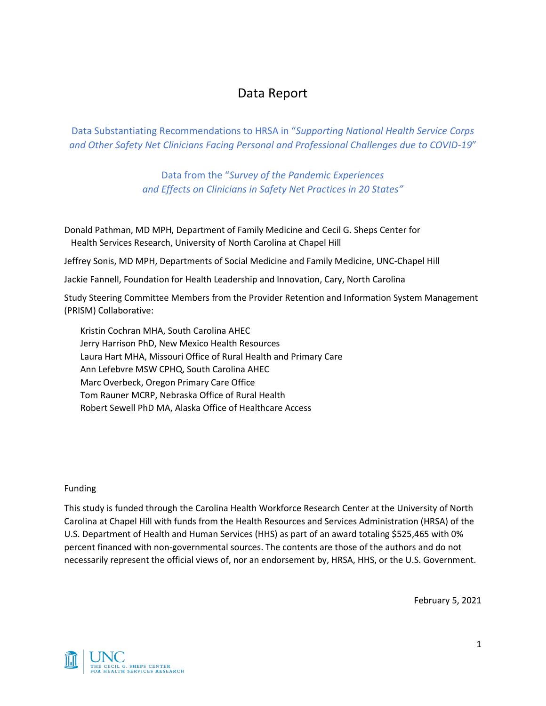# Data Report

Data Substantiating Recommendations to HRSA in "*Supporting National Health Service Corps and Other Safety Net Clinicians Facing Personal and Professional Challenges due to COVID-19*"

> Data from the "*Survey of the Pandemic Experiences and Effects on Clinicians in Safety Net Practices in 20 States"*

Donald Pathman, MD MPH, Department of Family Medicine and Cecil G. Sheps Center for Health Services Research, University of North Carolina at Chapel Hill

Jeffrey Sonis, MD MPH, Departments of Social Medicine and Family Medicine, UNC-Chapel Hill

Jackie Fannell, Foundation for Health Leadership and Innovation, Cary, North Carolina

Study Steering Committee Members from the Provider Retention and Information System Management (PRISM) Collaborative:

Kristin Cochran MHA, South Carolina AHEC Jerry Harrison PhD, New Mexico Health Resources Laura Hart MHA, Missouri Office of Rural Health and Primary Care Ann Lefebvre MSW CPHQ, South Carolina AHEC Marc Overbeck, Oregon Primary Care Office Tom Rauner MCRP, Nebraska Office of Rural Health Robert Sewell PhD MA, Alaska Office of Healthcare Access

#### Funding

This study is funded through the Carolina Health Workforce Research Center at the University of North Carolina at Chapel Hill with funds from the Health Resources and Services Administration (HRSA) of the U.S. Department of Health and Human Services (HHS) as part of an award totaling \$525,465 with 0% percent financed with non-governmental sources. The contents are those of the authors and do not necessarily represent the official views of, nor an endorsement by, HRSA, HHS, or the U.S. Government.

February 5, 2021

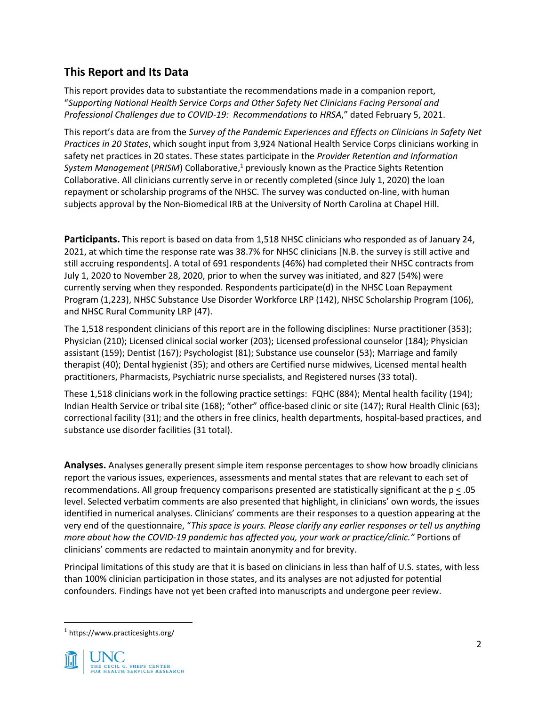## **This Report and Its Data**

This report provides data to substantiate the recommendations made in a companion report, "*Supporting National Health Service Corps and Other Safety Net Clinicians Facing Personal and Professional Challenges due to COVID-19: Recommendations to HRSA*," dated February 5, 2021.

This report's data are from the *Survey of the Pandemic Experiences and Effects on Clinicians in Safety Net Practices in 20 States*, which sought input from 3,924 National Health Service Corps clinicians working in safety net practices in 20 states. These states participate in the *Provider Retention and Information*  System Management (PRISM) Collaborative,<sup>1</sup> previously known as the Practice Sights Retention Collaborative. All clinicians currently serve in or recently completed (since July 1, 2020) the loan repayment or scholarship programs of the NHSC. The survey was conducted on-line, with human subjects approval by the Non-Biomedical IRB at the University of North Carolina at Chapel Hill.

**Participants.** This report is based on data from 1,518 NHSC clinicians who responded as of January 24, 2021, at which time the response rate was 38.7% for NHSC clinicians [N.B. the survey is still active and still accruing respondents]. A total of 691 respondents (46%) had completed their NHSC contracts from July 1, 2020 to November 28, 2020, prior to when the survey was initiated, and 827 (54%) were currently serving when they responded. Respondents participate(d) in the NHSC Loan Repayment Program (1,223), NHSC Substance Use Disorder Workforce LRP (142), NHSC Scholarship Program (106), and NHSC Rural Community LRP (47).

The 1,518 respondent clinicians of this report are in the following disciplines: Nurse practitioner (353); Physician (210); Licensed clinical social worker (203); Licensed professional counselor (184); Physician assistant (159); Dentist (167); Psychologist (81); Substance use counselor (53); Marriage and family therapist (40); Dental hygienist (35); and others are Certified nurse midwives, Licensed mental health practitioners, Pharmacists, Psychiatric nurse specialists, and Registered nurses (33 total).

These 1,518 clinicians work in the following practice settings: FQHC (884); Mental health facility (194); Indian Health Service or tribal site (168); "other" office-based clinic or site (147); Rural Health Clinic (63); correctional facility (31); and the others in free clinics, health departments, hospital-based practices, and substance use disorder facilities (31 total).

**Analyses.** Analyses generally present simple item response percentages to show how broadly clinicians report the various issues, experiences, assessments and mental states that are relevant to each set of recommendations. All group frequency comparisons presented are statistically significant at the p < .05 level. Selected verbatim comments are also presented that highlight, in clinicians' own words, the issues identified in numerical analyses. Clinicians' comments are their responses to a question appearing at the very end of the questionnaire, "*This space is yours. Please clarify any earlier responses or tell us anything more about how the COVID-19 pandemic has affected you, your work or practice/clinic."* Portions of clinicians' comments are redacted to maintain anonymity and for brevity.

Principal limitations of this study are that it is based on clinicians in less than half of U.S. states, with less than 100% clinician participation in those states, and its analyses are not adjusted for potential confounders. Findings have not yet been crafted into manuscripts and undergone peer review.

<sup>1</sup> https://www.practicesights.org/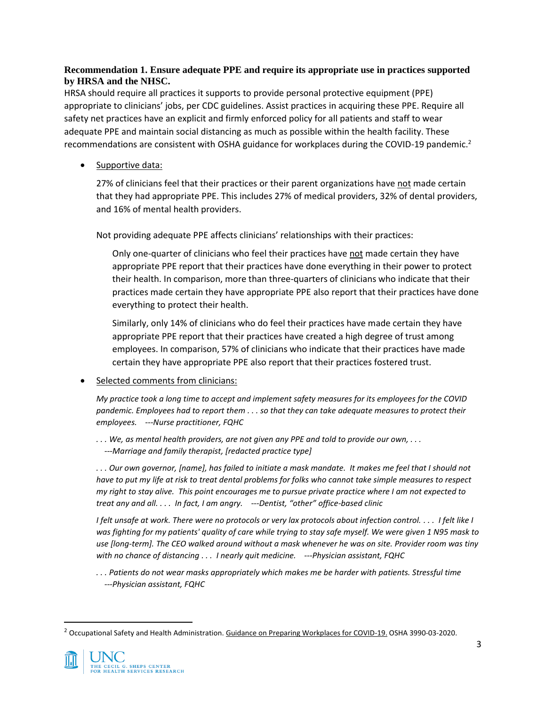## **Recommendation 1. Ensure adequate PPE and require its appropriate use in practices supported by HRSA and the NHSC.**

HRSA should require all practices it supports to provide personal protective equipment (PPE) appropriate to clinicians' jobs, per CDC guidelines. Assist practices in acquiring these PPE. Require all safety net practices have an explicit and firmly enforced policy for all patients and staff to wear adequate PPE and maintain social distancing as much as possible within the health facility. These recommendations are consistent with OSHA guidance for workplaces during the COVID-19 pandemic.<sup>2</sup>

Supportive data:

27% of clinicians feel that their practices or their parent organizations have not made certain that they had appropriate PPE. This includes 27% of medical providers, 32% of dental providers, and 16% of mental health providers.

Not providing adequate PPE affects clinicians' relationships with their practices:

Only one-quarter of clinicians who feel their practices have not made certain they have appropriate PPE report that their practices have done everything in their power to protect their health. In comparison, more than three-quarters of clinicians who indicate that their practices made certain they have appropriate PPE also report that their practices have done everything to protect their health.

Similarly, only 14% of clinicians who do feel their practices have made certain they have appropriate PPE report that their practices have created a high degree of trust among employees. In comparison, 57% of clinicians who indicate that their practices have made certain they have appropriate PPE also report that their practices fostered trust.

Selected comments from clinicians:

*My practice took a long time to accept and implement safety measures for its employees for the COVID pandemic. Employees had to report them . . . so that they can take adequate measures to protect their employees. ---Nurse practitioner, FQHC*

*. . . We, as mental health providers, are not given any PPE and told to provide our own, . . . ---Marriage and family therapist, [redacted practice type]*

*. . . Our own governor, [name], has failed to initiate a mask mandate. It makes me feel that I should not have to put my life at risk to treat dental problems for folks who cannot take simple measures to respect my right to stay alive. This point encourages me to pursue private practice where I am not expected to treat any and all. . . . In fact, I am angry. ---Dentist, "other" office-based clinic*

*I felt unsafe at work. There were no protocols or very lax protocols about infection control. . . . I felt like I was fighting for my patients' quality of care while trying to stay safe myself. We were given 1 N95 mask to use [long-term]. The CEO walked around without a mask whenever he was on site. Provider room was tiny with no chance of distancing . . . I nearly quit medicine. ---Physician assistant, FQHC*

*. . . Patients do not wear masks appropriately which makes me be harder with patients. Stressful time ---Physician assistant, FQHC*

<sup>&</sup>lt;sup>2</sup> Occupational Safety and Health Administration. Guidance on Preparing Workplaces for COVID-19. OSHA 3990-03-2020.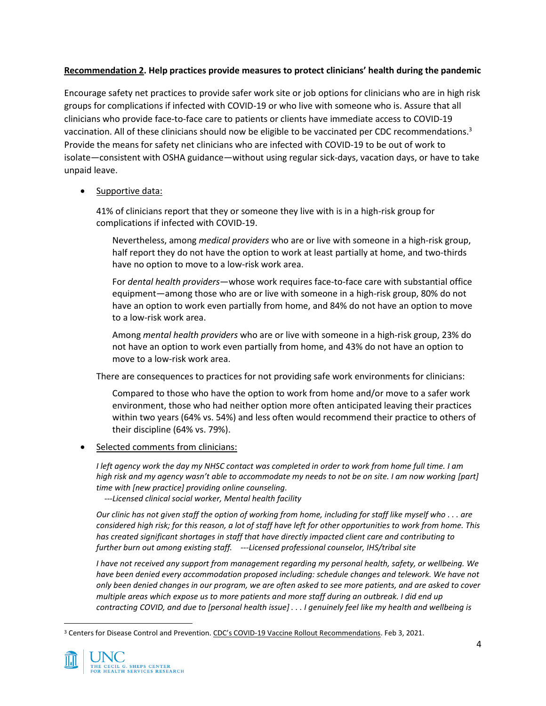## **Recommendation 2. Help practices provide measures to protect clinicians' health during the pandemic**

Encourage safety net practices to provide safer work site or job options for clinicians who are in high risk groups for complications if infected with COVID-19 or who live with someone who is. Assure that all clinicians who provide face-to-face care to patients or clients have immediate access to COVID-19 vaccination. All of these clinicians should now be eligible to be vaccinated per CDC recommendations.<sup>3</sup> Provide the means for safety net clinicians who are infected with COVID-19 to be out of work to isolate—consistent with OSHA guidance—without using regular sick-days, vacation days, or have to take unpaid leave.

### Supportive data:

41% of clinicians report that they or someone they live with is in a high-risk group for complications if infected with COVID-19.

Nevertheless, among *medical providers* who are or live with someone in a high-risk group, half report they do not have the option to work at least partially at home, and two-thirds have no option to move to a low-risk work area.

For *dental health providers*—whose work requires face-to-face care with substantial office equipment—among those who are or live with someone in a high-risk group, 80% do not have an option to work even partially from home, and 84% do not have an option to move to a low-risk work area.

Among *mental health providers* who are or live with someone in a high-risk group, 23% do not have an option to work even partially from home, and 43% do not have an option to move to a low-risk work area.

There are consequences to practices for not providing safe work environments for clinicians:

Compared to those who have the option to work from home and/or move to a safer work environment, those who had neither option more often anticipated leaving their practices within two years (64% vs. 54%) and less often would recommend their practice to others of their discipline (64% vs. 79%).

• Selected comments from clinicians:

*I left agency work the day my NHSC contact was completed in order to work from home full time. I am high risk and my agency wasn't able to accommodate my needs to not be on site. I am now working [part] time with [new practice] providing online counseling.*

 *---Licensed clinical social worker, Mental health facility*

*Our clinic has not given staff the option of working from home, including for staff like myself who . . . are considered high risk; for this reason, a lot of staff have left for other opportunities to work from home. This has created significant shortages in staff that have directly impacted client care and contributing to further burn out among existing staff. ---Licensed professional counselor, IHS/tribal site*

*I have not received any support from management regarding my personal health, safety, or wellbeing. We have been denied every accommodation proposed including: schedule changes and telework. We have not only been denied changes in our program, we are often asked to see more patients, and are asked to cover multiple areas which expose us to more patients and more staff during an outbreak. I did end up contracting COVID, and due to [personal health issue] . . . I genuinely feel like my health and wellbeing is* 

<sup>&</sup>lt;sup>3</sup> Centers for Disease Control and Prevention. CDC's COVID-19 Vaccine Rollout Recommendations. Feb 3, 2021.

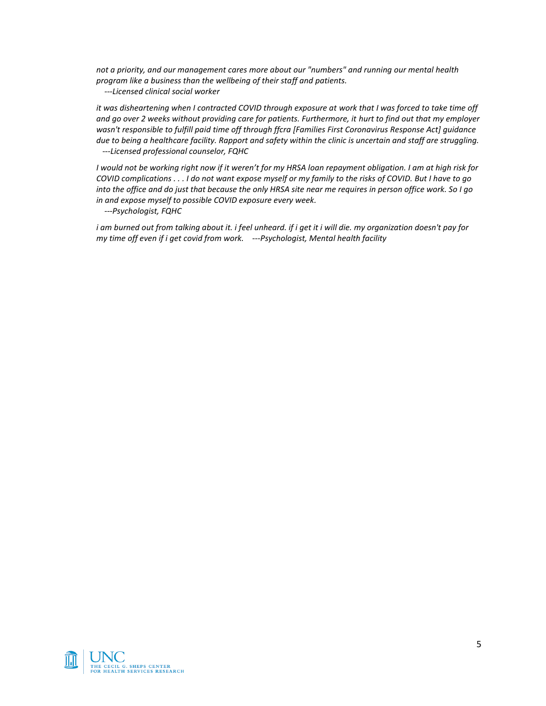*not a priority, and our management cares more about our "numbers" and running our mental health program like a business than the wellbeing of their staff and patients.*

 *---Licensed clinical social worker*

*it was disheartening when I contracted COVID through exposure at work that I was forced to take time off and go over 2 weeks without providing care for patients. Furthermore, it hurt to find out that my employer wasn't responsible to fulfill paid time off through ffcra [Families First Coronavirus Response Act] guidance due to being a healthcare facility. Rapport and safety within the clinic is uncertain and staff are struggling. ---Licensed professional counselor, FQHC*

*I would not be working right now if it weren't for my HRSA loan repayment obligation. I am at high risk for COVID complications . . . I do not want expose myself or my family to the risks of COVID. But I have to go into the office and do just that because the only HRSA site near me requires in person office work. So I go in and expose myself to possible COVID exposure every week.*

 *---Psychologist, FQHC*

*i am burned out from talking about it. i feel unheard. if i get it i will die. my organization doesn't pay for my time off even if i get covid from work. ---Psychologist, Mental health facility*

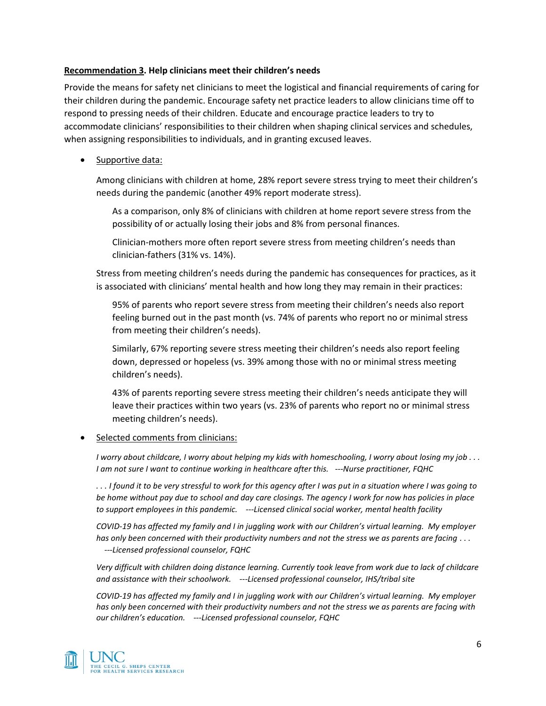#### **Recommendation 3. Help clinicians meet their children's needs**

Provide the means for safety net clinicians to meet the logistical and financial requirements of caring for their children during the pandemic. Encourage safety net practice leaders to allow clinicians time off to respond to pressing needs of their children. Educate and encourage practice leaders to try to accommodate clinicians' responsibilities to their children when shaping clinical services and schedules, when assigning responsibilities to individuals, and in granting excused leaves.

Supportive data:

Among clinicians with children at home, 28% report severe stress trying to meet their children's needs during the pandemic (another 49% report moderate stress).

As a comparison, only 8% of clinicians with children at home report severe stress from the possibility of or actually losing their jobs and 8% from personal finances.

Clinician-mothers more often report severe stress from meeting children's needs than clinician-fathers (31% vs. 14%).

Stress from meeting children's needs during the pandemic has consequences for practices, as it is associated with clinicians' mental health and how long they may remain in their practices:

95% of parents who report severe stress from meeting their children's needs also report feeling burned out in the past month (vs. 74% of parents who report no or minimal stress from meeting their children's needs).

Similarly, 67% reporting severe stress meeting their children's needs also report feeling down, depressed or hopeless (vs. 39% among those with no or minimal stress meeting children's needs).

43% of parents reporting severe stress meeting their children's needs anticipate they will leave their practices within two years (vs. 23% of parents who report no or minimal stress meeting children's needs).

#### • Selected comments from clinicians:

*I worry about childcare, I worry about helping my kids with homeschooling, I worry about losing my job . . . I am not sure I want to continue working in healthcare after this. ---Nurse practitioner, FQHC*

*. . . I found it to be very stressful to work for this agency after I was put in a situation where I was going to be home without pay due to school and day care closings. The agency I work for now has policies in place to support employees in this pandemic. ---Licensed clinical social worker, mental health facility*

*COVID-19 has affected my family and I in juggling work with our Children's virtual learning. My employer has only been concerned with their productivity numbers and not the stress we as parents are facing . . . ---Licensed professional counselor, FQHC*

*Very difficult with children doing distance learning. Currently took leave from work due to lack of childcare and assistance with their schoolwork. ---Licensed professional counselor, IHS/tribal site*

*COVID-19 has affected my family and I in juggling work with our Children's virtual learning. My employer has only been concerned with their productivity numbers and not the stress we as parents are facing with our children's education. ---Licensed professional counselor, FQHC*

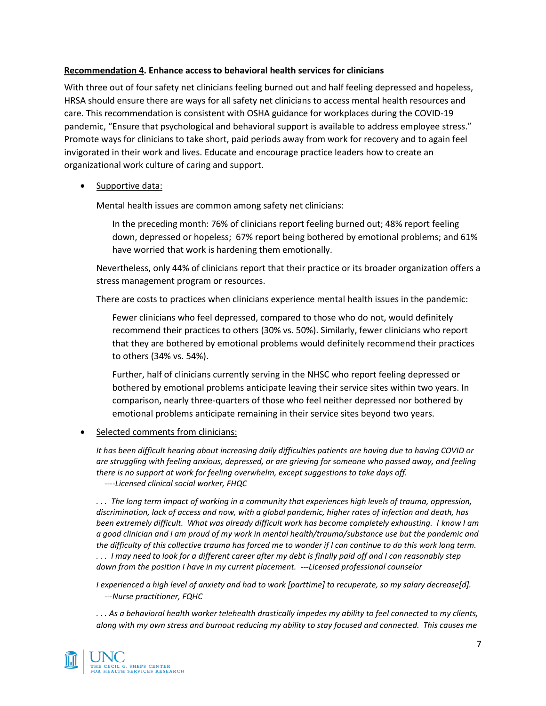#### **Recommendation 4. Enhance access to behavioral health services for clinicians**

With three out of four safety net clinicians feeling burned out and half feeling depressed and hopeless, HRSA should ensure there are ways for all safety net clinicians to access mental health resources and care. This recommendation is consistent with OSHA guidance for workplaces during the COVID-19 pandemic, "Ensure that psychological and behavioral support is available to address employee stress." Promote ways for clinicians to take short, paid periods away from work for recovery and to again feel invigorated in their work and lives. Educate and encourage practice leaders how to create an organizational work culture of caring and support.

Supportive data:

Mental health issues are common among safety net clinicians:

In the preceding month: 76% of clinicians report feeling burned out; 48% report feeling down, depressed or hopeless; 67% report being bothered by emotional problems; and 61% have worried that work is hardening them emotionally.

Nevertheless, only 44% of clinicians report that their practice or its broader organization offers a stress management program or resources.

There are costs to practices when clinicians experience mental health issues in the pandemic:

Fewer clinicians who feel depressed, compared to those who do not, would definitely recommend their practices to others (30% vs. 50%). Similarly, fewer clinicians who report that they are bothered by emotional problems would definitely recommend their practices to others (34% vs. 54%).

Further, half of clinicians currently serving in the NHSC who report feeling depressed or bothered by emotional problems anticipate leaving their service sites within two years. In comparison, nearly three-quarters of those who feel neither depressed nor bothered by emotional problems anticipate remaining in their service sites beyond two years.

#### • Selected comments from clinicians:

*It has been difficult hearing about increasing daily difficulties patients are having due to having COVID or are struggling with feeling anxious, depressed, or are grieving for someone who passed away, and feeling there is no support at work for feeling overwhelm, except suggestions to take days off. ----Licensed clinical social worker, FHQC*

*. . . The long term impact of working in a community that experiences high levels of trauma, oppression, discrimination, lack of access and now, with a global pandemic, higher rates of infection and death, has been extremely difficult. What was already difficult work has become completely exhausting. I know I am a good clinician and I am proud of my work in mental health/trauma/substance use but the pandemic and the difficulty of this collective trauma has forced me to wonder if I can continue to do this work long term. . . . I may need to look for a different career after my debt is finally paid off and I can reasonably step down from the position I have in my current placement. ---Licensed professional counselor*

*I experienced a high level of anxiety and had to work [parttime] to recuperate, so my salary decrease[d]. ---Nurse practitioner, FQHC*

*. . . As a behavioral health worker telehealth drastically impedes my ability to feel connected to my clients, along with my own stress and burnout reducing my ability to stay focused and connected. This causes me* 

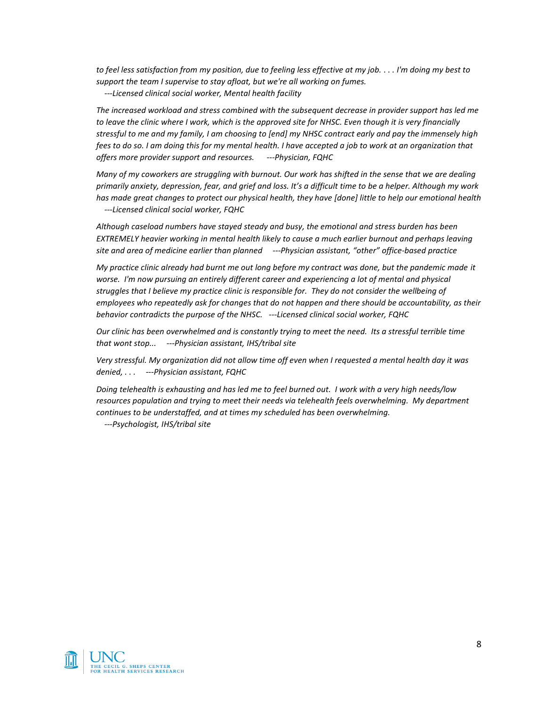*to feel less satisfaction from my position, due to feeling less effective at my job. . . . I'm doing my best to support the team I supervise to stay afloat, but we're all working on fumes.*

 *---Licensed clinical social worker, Mental health facility*

*The increased workload and stress combined with the subsequent decrease in provider support has led me to leave the clinic where I work, which is the approved site for NHSC. Even though it is very financially stressful to me and my family, I am choosing to [end] my NHSC contract early and pay the immensely high fees to do so. I am doing this for my mental health. I have accepted a job to work at an organization that offers more provider support and resources. ---Physician, FQHC*

*Many of my coworkers are struggling with burnout. Our work has shifted in the sense that we are dealing primarily anxiety, depression, fear, and grief and loss. It's a difficult time to be a helper. Although my work has made great changes to protect our physical health, they have [done] little to help our emotional health ---Licensed clinical social worker, FQHC*

*Although caseload numbers have stayed steady and busy, the emotional and stress burden has been EXTREMELY heavier working in mental health likely to cause a much earlier burnout and perhaps leaving site and area of medicine earlier than planned ---Physician assistant, "other" office-based practice*

*My practice clinic already had burnt me out long before my contract was done, but the pandemic made it worse. I'm now pursuing an entirely different career and experiencing a lot of mental and physical struggles that I believe my practice clinic is responsible for. They do not consider the wellbeing of employees who repeatedly ask for changes that do not happen and there should be accountability, as their behavior contradicts the purpose of the NHSC. ---Licensed clinical social worker, FQHC*

*Our clinic has been overwhelmed and is constantly trying to meet the need. Its a stressful terrible time that wont stop... ---Physician assistant, IHS/tribal site*

*Very stressful. My organization did not allow time off even when I requested a mental health day it was denied, . . . ---Physician assistant, FQHC*

*Doing telehealth is exhausting and has led me to feel burned out. I work with a very high needs/low resources population and trying to meet their needs via telehealth feels overwhelming. My department continues to be understaffed, and at times my scheduled has been overwhelming.*

 *---Psychologist, IHS/tribal site*

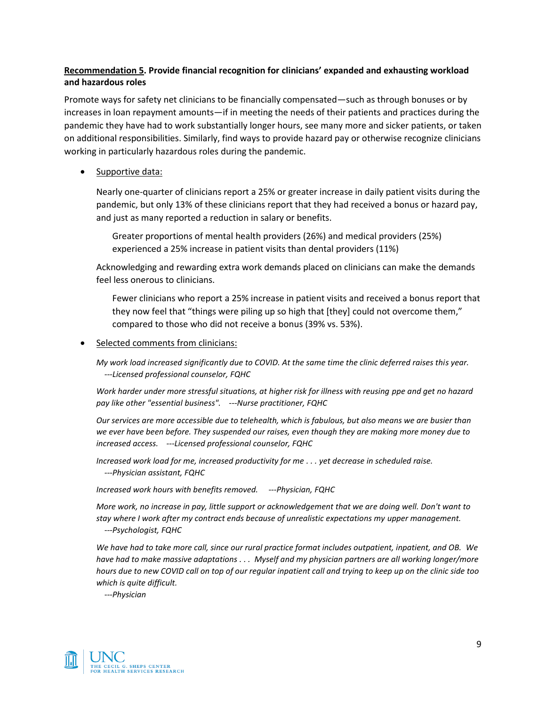## **Recommendation 5. Provide financial recognition for clinicians' expanded and exhausting workload and hazardous roles**

Promote ways for safety net clinicians to be financially compensated—such as through bonuses or by increases in loan repayment amounts—if in meeting the needs of their patients and practices during the pandemic they have had to work substantially longer hours, see many more and sicker patients, or taken on additional responsibilities. Similarly, find ways to provide hazard pay or otherwise recognize clinicians working in particularly hazardous roles during the pandemic.

Supportive data:

Nearly one-quarter of clinicians report a 25% or greater increase in daily patient visits during the pandemic, but only 13% of these clinicians report that they had received a bonus or hazard pay, and just as many reported a reduction in salary or benefits.

Greater proportions of mental health providers (26%) and medical providers (25%) experienced a 25% increase in patient visits than dental providers (11%)

Acknowledging and rewarding extra work demands placed on clinicians can make the demands feel less onerous to clinicians.

Fewer clinicians who report a 25% increase in patient visits and received a bonus report that they now feel that "things were piling up so high that [they] could not overcome them," compared to those who did not receive a bonus (39% vs. 53%).

Selected comments from clinicians:

*My work load increased significantly due to COVID. At the same time the clinic deferred raises this year. ---Licensed professional counselor, FQHC*

*Work harder under more stressful situations, at higher risk for illness with reusing ppe and get no hazard pay like other "essential business". ---Nurse practitioner, FQHC*

*Our services are more accessible due to telehealth, which is fabulous, but also means we are busier than we ever have been before. They suspended our raises, even though they are making more money due to increased access. ---Licensed professional counselor, FQHC*

*Increased work load for me, increased productivity for me . . . yet decrease in scheduled raise. ---Physician assistant, FQHC*

*Increased work hours with benefits removed. ---Physician, FQHC*

*More work, no increase in pay, little support or acknowledgement that we are doing well. Don't want to stay where I work after my contract ends because of unrealistic expectations my upper management. ---Psychologist, FQHC*

*We have had to take more call, since our rural practice format includes outpatient, inpatient, and OB. We have had to make massive adaptations . . . Myself and my physician partners are all working longer/more hours due to new COVID call on top of our regular inpatient call and trying to keep up on the clinic side too which is quite difficult.*

 *---Physician*

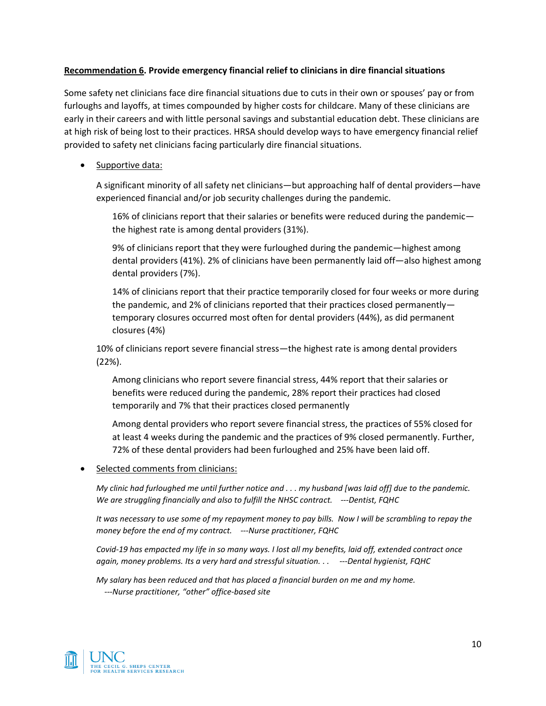#### **Recommendation 6. Provide emergency financial relief to clinicians in dire financial situations**

Some safety net clinicians face dire financial situations due to cuts in their own or spouses' pay or from furloughs and layoffs, at times compounded by higher costs for childcare. Many of these clinicians are early in their careers and with little personal savings and substantial education debt. These clinicians are at high risk of being lost to their practices. HRSA should develop ways to have emergency financial relief provided to safety net clinicians facing particularly dire financial situations.

Supportive data:

A significant minority of all safety net clinicians—but approaching half of dental providers—have experienced financial and/or job security challenges during the pandemic.

16% of clinicians report that their salaries or benefits were reduced during the pandemic the highest rate is among dental providers (31%).

9% of clinicians report that they were furloughed during the pandemic—highest among dental providers (41%). 2% of clinicians have been permanently laid off—also highest among dental providers (7%).

14% of clinicians report that their practice temporarily closed for four weeks or more during the pandemic, and 2% of clinicians reported that their practices closed permanently temporary closures occurred most often for dental providers (44%), as did permanent closures (4%)

10% of clinicians report severe financial stress—the highest rate is among dental providers (22%).

Among clinicians who report severe financial stress, 44% report that their salaries or benefits were reduced during the pandemic, 28% report their practices had closed temporarily and 7% that their practices closed permanently

Among dental providers who report severe financial stress, the practices of 55% closed for at least 4 weeks during the pandemic and the practices of 9% closed permanently. Further, 72% of these dental providers had been furloughed and 25% have been laid off.

• Selected comments from clinicians:

*My clinic had furloughed me until further notice and . . . my husband [was laid off] due to the pandemic. We are struggling financially and also to fulfill the NHSC contract. ---Dentist, FQHC*

*It was necessary to use some of my repayment money to pay bills. Now I will be scrambling to repay the money before the end of my contract. ---Nurse practitioner, FQHC*

*Covid-19 has empacted my life in so many ways. I lost all my benefits, laid off, extended contract once again, money problems. Its a very hard and stressful situation. . . ---Dental hygienist, FQHC*

*My salary has been reduced and that has placed a financial burden on me and my home. ---Nurse practitioner, "other" office-based site*

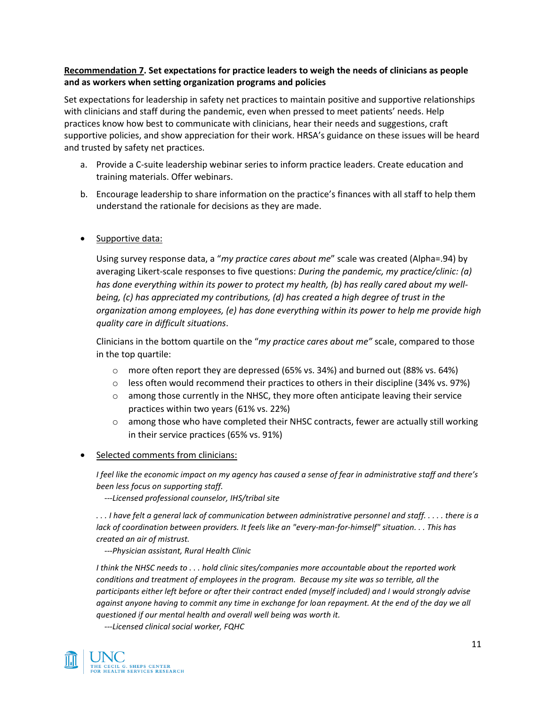## **Recommendation 7. Set expectations for practice leaders to weigh the needs of clinicians as people and as workers when setting organization programs and policies**

Set expectations for leadership in safety net practices to maintain positive and supportive relationships with clinicians and staff during the pandemic, even when pressed to meet patients' needs. Help practices know how best to communicate with clinicians, hear their needs and suggestions, craft supportive policies, and show appreciation for their work. HRSA's guidance on these issues will be heard and trusted by safety net practices.

- a. Provide a C-suite leadership webinar series to inform practice leaders. Create education and training materials. Offer webinars.
- b. Encourage leadership to share information on the practice's finances with all staff to help them understand the rationale for decisions as they are made.
- Supportive data:

Using survey response data, a "*my practice cares about me*" scale was created (Alpha=.94) by averaging Likert-scale responses to five questions: *During the pandemic, my practice/clinic: (a) has done everything within its power to protect my health, (b) has really cared about my wellbeing, (c) has appreciated my contributions, (d) has created a high degree of trust in the organization among employees, (e) has done everything within its power to help me provide high quality care in difficult situations*.

Clinicians in the bottom quartile on the "*my practice cares about me"* scale, compared to those in the top quartile:

- $\circ$  more often report they are depressed (65% vs. 34%) and burned out (88% vs. 64%)
- $\circ$  less often would recommend their practices to others in their discipline (34% vs. 97%)
- $\circ$  among those currently in the NHSC, they more often anticipate leaving their service practices within two years (61% vs. 22%)
- $\circ$  among those who have completed their NHSC contracts, fewer are actually still working in their service practices (65% vs. 91%)
- Selected comments from clinicians:

*I feel like the economic impact on my agency has caused a sense of fear in administrative staff and there's been less focus on supporting staff.*

 *---Licensed professional counselor, IHS/tribal site*

*. . . I have felt a general lack of communication between administrative personnel and staff. . . . . there is a lack of coordination between providers. It feels like an "every-man-for-himself" situation. . . This has created an air of mistrust.*

 *---Physician assistant, Rural Health Clinic*

*I think the NHSC needs to . . . hold clinic sites/companies more accountable about the reported work conditions and treatment of employees in the program. Because my site was so terrible, all the participants either left before or after their contract ended (myself included) and I would strongly advise against anyone having to commit any time in exchange for loan repayment. At the end of the day we all questioned if our mental health and overall well being was worth it.*

 *---Licensed clinical social worker, FQHC*

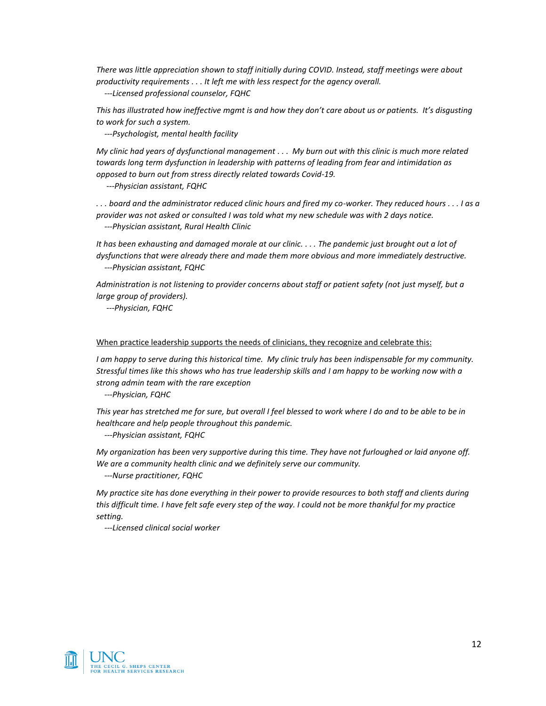*There was little appreciation shown to staff initially during COVID. Instead, staff meetings were about productivity requirements . . . It left me with less respect for the agency overall.*

 *---Licensed professional counselor, FQHC*

*This has illustrated how ineffective mgmt is and how they don't care about us or patients. It's disgusting to work for such a system.*

 *---Psychologist, mental health facility*

*My clinic had years of dysfunctional management . . . My burn out with this clinic is much more related towards long term dysfunction in leadership with patterns of leading from fear and intimidation as opposed to burn out from stress directly related towards Covid-19.*

 *---Physician assistant, FQHC*

*. . . board and the administrator reduced clinic hours and fired my co-worker. They reduced hours . . . I as a provider was not asked or consulted I was told what my new schedule was with 2 days notice.* 

 *---Physician assistant, Rural Health Clinic*

*It has been exhausting and damaged morale at our clinic. . . . The pandemic just brought out a lot of dysfunctions that were already there and made them more obvious and more immediately destructive. ---Physician assistant, FQHC*

*Administration is not listening to provider concerns about staff or patient safety (not just myself, but a large group of providers).*

 *---Physician, FQHC*

#### When practice leadership supports the needs of clinicians, they recognize and celebrate this:

*I am happy to serve during this historical time. My clinic truly has been indispensable for my community. Stressful times like this shows who has true leadership skills and I am happy to be working now with a strong admin team with the rare exception*

 *---Physician, FQHC*

*This year has stretched me for sure, but overall I feel blessed to work where I do and to be able to be in healthcare and help people throughout this pandemic.*

 *---Physician assistant, FQHC*

*My organization has been very supportive during this time. They have not furloughed or laid anyone off. We are a community health clinic and we definitely serve our community.*

 *---Nurse practitioner, FQHC*

*My practice site has done everything in their power to provide resources to both staff and clients during this difficult time. I have felt safe every step of the way. I could not be more thankful for my practice setting.*

 *---Licensed clinical social worker*

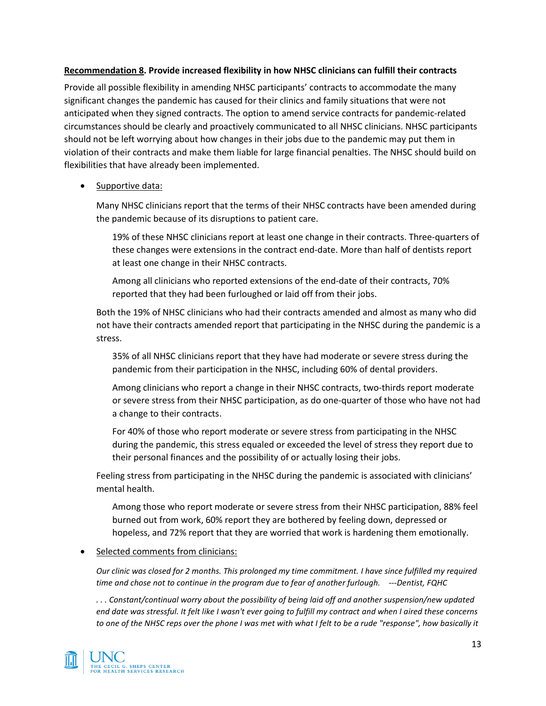#### **Recommendation 8. Provide increased flexibility in how NHSC clinicians can fulfill their contracts**

Provide all possible flexibility in amending NHSC participants' contracts to accommodate the many significant changes the pandemic has caused for their clinics and family situations that were not anticipated when they signed contracts. The option to amend service contracts for pandemic-related circumstances should be clearly and proactively communicated to all NHSC clinicians. NHSC participants should not be left worrying about how changes in their jobs due to the pandemic may put them in violation of their contracts and make them liable for large financial penalties. The NHSC should build on flexibilities that have already been implemented.

## • Supportive data:

Many NHSC clinicians report that the terms of their NHSC contracts have been amended during the pandemic because of its disruptions to patient care.

19% of these NHSC clinicians report at least one change in their contracts. Three-quarters of these changes were extensions in the contract end-date. More than half of dentists report at least one change in their NHSC contracts.

Among all clinicians who reported extensions of the end-date of their contracts, 70% reported that they had been furloughed or laid off from their jobs.

Both the 19% of NHSC clinicians who had their contracts amended and almost as many who did not have their contracts amended report that participating in the NHSC during the pandemic is a stress.

35% of all NHSC clinicians report that they have had moderate or severe stress during the pandemic from their participation in the NHSC, including 60% of dental providers.

Among clinicians who report a change in their NHSC contracts, two-thirds report moderate or severe stress from their NHSC participation, as do one-quarter of those who have not had a change to their contracts.

For 40% of those who report moderate or severe stress from participating in the NHSC during the pandemic, this stress equaled or exceeded the level of stress they report due to their personal finances and the possibility of or actually losing their jobs.

Feeling stress from participating in the NHSC during the pandemic is associated with clinicians' mental health.

Among those who report moderate or severe stress from their NHSC participation, 88% feel burned out from work, 60% report they are bothered by feeling down, depressed or hopeless, and 72% report that they are worried that work is hardening them emotionally.

## Selected comments from clinicians:

*Our clinic was closed for 2 months. This prolonged my time commitment. I have since fulfilled my required time and chose not to continue in the program due to fear of another furlough. ---Dentist, FQHC*

*. . . Constant/continual worry about the possibility of being laid off and another suspension/new updated end date was stressful. It felt like I wasn't ever going to fulfill my contract and when I aired these concerns to one of the NHSC reps over the phone I was met with what I felt to be a rude "response", how basically it*